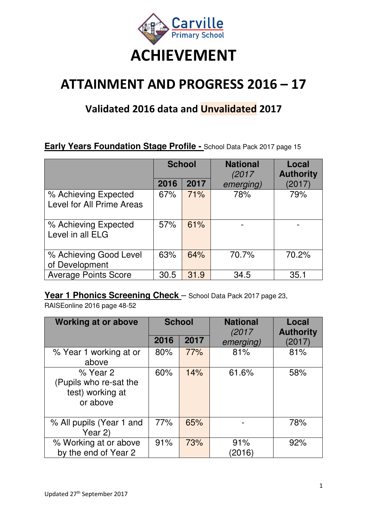

# **ATTAINMENT AND PROGRESS 2016 – 17**

## **Validated 2016 data and Unvalidated 2017**

#### **Early Years Foundation Stage Profile - School Data Pack 2017 page 15**

|                                                   | <b>School</b> |      | <b>National</b><br>(2017 | Local<br><b>Authority</b> |
|---------------------------------------------------|---------------|------|--------------------------|---------------------------|
|                                                   | 2016          | 2017 | emerging)                | (2017)                    |
| % Achieving Expected<br>Level for All Prime Areas | 67%           | 71%  | 78%                      | 79%                       |
| % Achieving Expected<br>Level in all ELG          | 57%           | 61%  |                          |                           |
| % Achieving Good Level<br>of Development          | 63%           | 64%  | 70.7%                    | 70.2%                     |
| <b>Average Points Score</b>                       | 30.5          | 31.9 | 34.5                     | 35.1                      |

#### Year 1 Phonics Screening Check - School Data Pack 2017 page 23,

RAISEonline 2016 page 48-52

| <b>Working at or above</b>                                         | <b>School</b> |      | <b>National</b><br>(2017 | Local<br><b>Authority</b> |  |  |
|--------------------------------------------------------------------|---------------|------|--------------------------|---------------------------|--|--|
|                                                                    | 2016          | 2017 | emerging)                | (2017)                    |  |  |
| % Year 1 working at or<br>above                                    | 80%           | 77%  | 81%                      | 81%                       |  |  |
| % Year 2<br>(Pupils who re-sat the<br>test) working at<br>or above | 60%           | 14%  | 61.6%                    | 58%                       |  |  |
| % All pupils (Year 1 and<br>Year 2)                                | 77%           | 65%  |                          | 78%                       |  |  |
| % Working at or above<br>by the end of Year 2                      | 91%           | 73%  | 91%<br>(2016)            | 92%                       |  |  |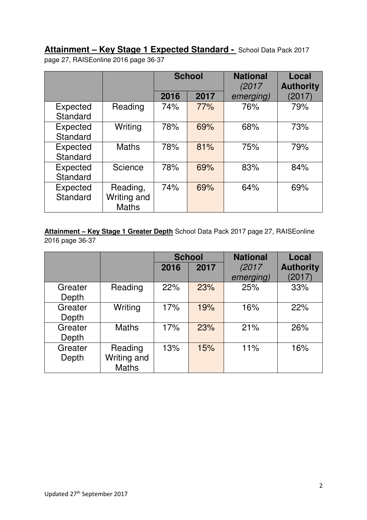**Attainment – Key Stage 1 Expected Standard -** School Data Pack 2017 page 27, RAISEonline 2016 page 36-37

|                             |                                         |      | <b>School</b> | <b>National</b><br>(2017) | Local<br><b>Authority</b> |
|-----------------------------|-----------------------------------------|------|---------------|---------------------------|---------------------------|
|                             |                                         | 2016 | 2017          | emerging)                 | (2017)                    |
| Expected<br>Standard        | Reading                                 | 74%  | 77%           | 76%                       | 79%                       |
| Expected<br>Standard        | Writing                                 | 78%  | 69%           | 68%                       | 73%                       |
| <b>Expected</b><br>Standard | <b>Maths</b>                            | 78%  | 81%           | 75%                       | 79%                       |
| Expected<br>Standard        | Science                                 | 78%  | 69%           | 83%                       | 84%                       |
| Expected<br>Standard        | Reading,<br>Writing and<br><b>Maths</b> | 74%  | 69%           | 64%                       | 69%                       |

**Attainment – Key Stage 1 Greater Depth** School Data Pack 2017 page 27, RAISEonline 2016 page 36-37

|                  |                                        |      | <b>School</b> | <b>National</b> | Local            |
|------------------|----------------------------------------|------|---------------|-----------------|------------------|
|                  |                                        | 2016 | 2017          | (2017)          | <b>Authority</b> |
|                  |                                        |      |               | emerging)       | (2017)           |
| Greater<br>Depth | Reading                                | 22%  | 23%           | 25%             | 33%              |
| Greater<br>Depth | Writing                                | 17%  | 19%           | 16%             | 22%              |
| Greater<br>Depth | <b>Maths</b>                           | 17%  | 23%           | 21%             | 26%              |
| Greater<br>Depth | Reading<br>Writing and<br><b>Maths</b> | 13%  | 15%           | 11%             | 16%              |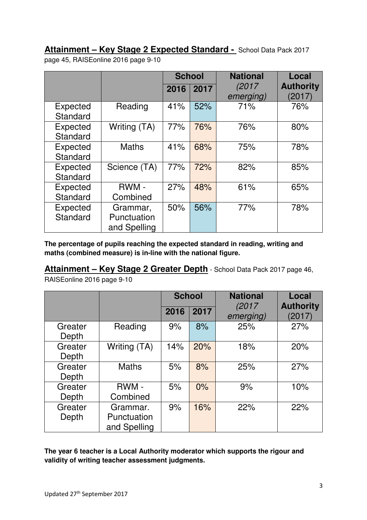**Attainment – Key Stage 2 Expected Standard -** School Data Pack 2017 page 45, RAISEonline 2016 page 9-10

|                             |                                         |      | <b>School</b> | <b>National</b>    | Local                      |
|-----------------------------|-----------------------------------------|------|---------------|--------------------|----------------------------|
|                             |                                         | 2016 | 2017          | (2017<br>emerging) | <b>Authority</b><br>(2017) |
| <b>Expected</b><br>Standard | Reading                                 | 41%  | 52%           | 71%                | 76%                        |
| Expected<br>Standard        | Writing (TA)                            | 77%  | 76%           | 76%                | 80%                        |
| <b>Expected</b><br>Standard | <b>Maths</b>                            | 41%  | 68%           | 75%                | 78%                        |
| Expected<br>Standard        | Science (TA)                            | 77%  | 72%           | 82%                | 85%                        |
| <b>Expected</b><br>Standard | RWM -<br>Combined                       | 27%  | 48%           | 61%                | 65%                        |
| <b>Expected</b><br>Standard | Grammar,<br>Punctuation<br>and Spelling | 50%  | 56%           | 77%                | 78%                        |

**The percentage of pupils reaching the expected standard in reading, writing and maths (combined measure) is in-line with the national figure.** 

**Attainment – Key Stage 2 Greater Depth** - School Data Pack 2017 page 46,

RAISEonline 2016 page 9-10

|                  |                                         | <b>School</b> |      | <b>National</b>     | Local                      |
|------------------|-----------------------------------------|---------------|------|---------------------|----------------------------|
|                  |                                         | 2016          | 2017 | (2017)<br>emerging) | <b>Authority</b><br>(2017) |
| Greater<br>Depth | Reading                                 | 9%            | 8%   | 25%                 | 27%                        |
| Greater<br>Depth | Writing (TA)                            | 14%           | 20%  | 18%                 | 20%                        |
| Greater<br>Depth | <b>Maths</b>                            | 5%            | 8%   | 25%                 | 27%                        |
| Greater          | RWM-                                    | 5%            | 0%   | 9%                  | 10%                        |
| Depth            | Combined                                |               |      |                     |                            |
| Greater<br>Depth | Grammar.<br>Punctuation<br>and Spelling | 9%            | 16%  | 22%                 | 22%                        |

**The year 6 teacher is a Local Authority moderator which supports the rigour and validity of writing teacher assessment judgments.**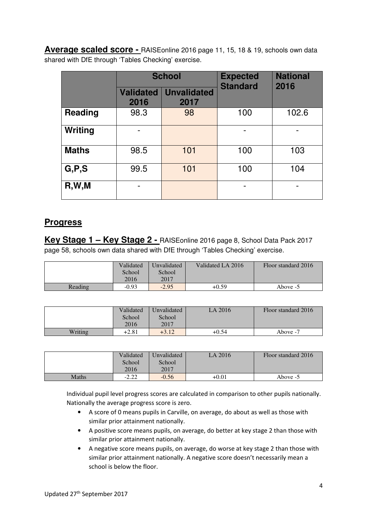**Average scaled score -** RAISEonline 2016 page 11, 15, 18 & 19, schools own data shared with DfE through 'Tables Checking' exercise.

|                |                          | <b>School</b>              | <b>Expected</b><br><b>Standard</b> | <b>National</b><br>2016 |  |  |
|----------------|--------------------------|----------------------------|------------------------------------|-------------------------|--|--|
|                | <b>Validated</b><br>2016 | <b>Unvalidated</b><br>2017 |                                    |                         |  |  |
| <b>Reading</b> | 98.3                     | 98                         | 100                                | 102.6                   |  |  |
| Writing        |                          |                            |                                    |                         |  |  |
| <b>Maths</b>   | 98.5                     | 101                        | 100                                | 103                     |  |  |
| G, P, S        | 99.5                     | 101                        | 100                                | 104                     |  |  |
| R,W,M          |                          |                            |                                    |                         |  |  |

#### **Progress**

**Key Stage 1 – Key Stage 2 -** RAISEonline 2016 page 8, School Data Pack 2017 page 58, schools own data shared with DfE through 'Tables Checking' exercise.

|         | Validated<br>School<br>2016 | Unvalidated<br>School<br>2017 | Validated LA 2016 | Floor standard 2016 |
|---------|-----------------------------|-------------------------------|-------------------|---------------------|
| Reading | $-0.93$                     | $-2.95$                       | $+0.59$           | Above -5            |

|         | Validated | Unvalidated | LA 2016 | Floor standard 2016 |
|---------|-----------|-------------|---------|---------------------|
|         | School    | School      |         |                     |
|         | 2016      | 2017        |         |                     |
| Writing | $+2.81$   | $+3.12$     | $+0.54$ | Above -7            |

|       | Validated | Unvalidated | LA 2016 | Floor standard 2016 |
|-------|-----------|-------------|---------|---------------------|
|       | School    | School      |         |                     |
|       | 2016      | 2017        |         |                     |
| Maths | $-2.22$   | $-0.56$     | $+0.01$ | Above $-5$          |

Individual pupil level progress scores are calculated in comparison to other pupils nationally. Nationally the average progress score is zero.

- A score of 0 means pupils in Carville, on average, do about as well as those with similar prior attainment nationally.
- A positive score means pupils, on average, do better at key stage 2 than those with similar prior attainment nationally.
- A negative score means pupils, on average, do worse at key stage 2 than those with similar prior attainment nationally. A negative score doesn't necessarily mean a school is below the floor.